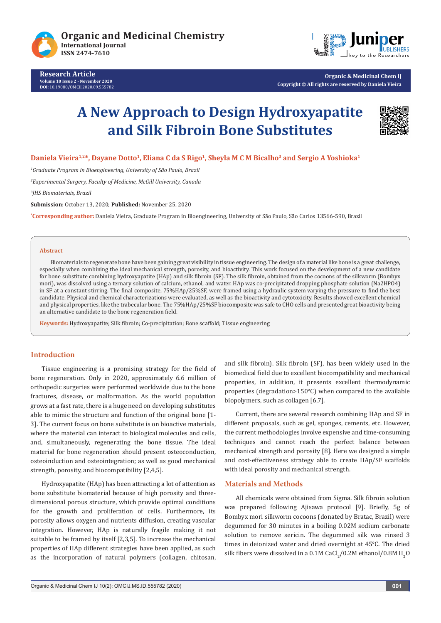



**Organic & Medicinal Chem IJ Copyright © All rights are reserved by Daniela Vieira**

# **A New Approach to Design Hydroxyapatite and Silk Fibroin Bone Substitutes**



Daniela Vieira<sup>1,2\*</sup>, Dayane Dotto<sup>1</sup>, Eliana C da S Rigo<sup>1</sup>, Sheyla M C M Bicalho<sup>3</sup> and Sergio A Yoshioka<sup>1</sup>

*1 Graduate Program in Bioengineering, University of São Paulo, Brazil*

*2 Experimental Surgery, Faculty of Medicine, McGill University, Canada*

*3 JHS Biomateriais, Brazil*

**Submission**: October 13, 2020; **Published:** November 25, 2020

**\* Corresponding author:** Daniela Vieira, Graduate Program in Bioengineering, University of São Paulo, São Carlos 13566-590, Brazil

#### **Abstract**

Biomaterials to regenerate bone have been gaining great visibility in tissue engineering. The design of a material like bone is a great challenge, especially when combining the ideal mechanical strength, porosity, and bioactivity. This work focused on the development of a new candidate for bone substitute combining hydroxyapatite (HAp) and silk fibroin (SF). The silk fibroin, obtained from the cocoons of the silkworm (Bombyx mori), was dissolved using a ternary solution of calcium, ethanol, and water. HAp was co-precipitated dropping phosphate solution (Na2HPO4) in SF at a constant stirring. The final composite, 75%HAp/25%SF, were framed using a hydraulic system varying the pressure to find the best candidate. Physical and chemical characterizations were evaluated, as well as the bioactivity and cytotoxicity. Results showed excellent chemical and physical properties, like the trabecular bone. The 75%HAp/25%SF biocomposite was safe to CHO cells and presented great bioactivity being an alternative candidate to the bone regeneration field.

**Keywords:** Hydroxyapatite; Silk fibroin; Co-precipitation; Bone scaffold; Tissue engineering

## **Introduction**

Tissue engineering is a promising strategy for the field of bone regeneration. Only in 2020, approximately 6.6 million of orthopedic surgeries were performed worldwide due to the bone fractures, disease, or malformation. As the world population grows at a fast rate, there is a huge need on developing substitutes able to mimic the structure and function of the original bone [1- 3]. The current focus on bone substitute is on bioactive materials, where the material can interact to biological molecules and cells, and, simultaneously, regenerating the bone tissue. The ideal material for bone regeneration should present osteoconduction, osteoinduction and osteointegration; as well as good mechanical strength, porosity, and biocompatibility [2,4,5].

Hydroxyapatite (HAp) has been attracting a lot of attention as bone substitute biomaterial because of high porosity and threedimensional porous structure, which provide optimal conditions for the growth and proliferation of cells. Furthermore, its porosity allows oxygen and nutrients diffusion, creating vascular integration. However, HAp is naturally fragile making it not suitable to be framed by itself [2,3,5]. To increase the mechanical properties of HAp different strategies have been applied, as such as the incorporation of natural polymers (collagen, chitosan, and silk fibroin). Silk fibroin (SF), has been widely used in the biomedical field due to excellent biocompatibility and mechanical properties, in addition, it presents excellent thermodynamic properties (degradation>150°C) when compared to the available biopolymers, such as collagen [6,7].

Current, there are several research combining HAp and SF in different proposals, such as gel, sponges, cements, etc. However, the current methodologies involve expensive and time-consuming techniques and cannot reach the perfect balance between mechanical strength and porosity [8]. Here we designed a simple and cost-effectiveness strategy able to create HAp/SF scaffolds with ideal porosity and mechanical strength.

## **Materials and Methods**

All chemicals were obtained from Sigma. Silk fibroin solution was prepared following Ajisawa protocol [9]. Briefly, 5g of Bombyx mori silkworm cocoons (donated by Bratac, Brazil) were degummed for 30 minutes in a boiling 0.02M sodium carbonate solution to remove sericin. The degummed silk was rinsed 3 times in deionized water and dried overnight at 45°C. The dried silk fibers were dissolved in a  $0.1$ M CaCl<sub>2</sub>/0.2M ethanol/0.8M  $\rm H_2O$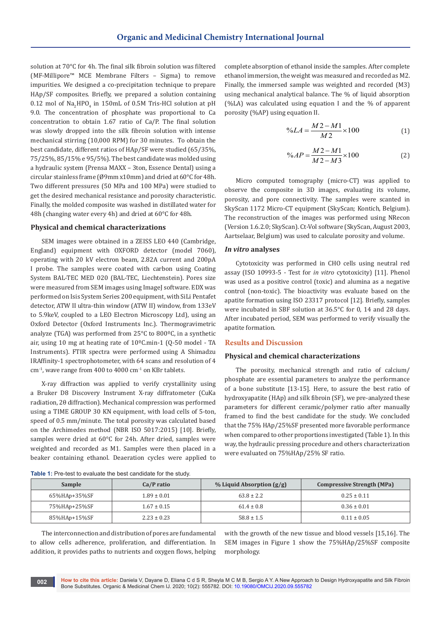solution at 70°C for 4h. The final silk fibroin solution was filtered (MF-Millipore™ MCE Membrane Filters – Sigma) to remove impurities. We designed a co-precipitation technique to prepare HAp/SF composites. Briefly, we prepared a solution containing  $0.12$  mol of Na<sub>2</sub>HPO<sub>4</sub> in 150mL of 0.5M Tris-HCl solution at pH 9.0. The concentration of phosphate was proportional to Ca concentration to obtain 1.67 ratio of Ca/P. The final solution was slowly dropped into the silk fibroin solution with intense mechanical stirring (10,000 RPM) for 30 minutes. To obtain the best candidate, different ratios of HAp/SF were studied (65/35%, 75/25%, 85/15% e 95/5%). The best candidate was molded using a hydraulic system (Prensa MAXX – 3ton, Essence Dental) using a circular stainless frame (Ø9mm x10mm) and dried at 60°C for 48h. Two different pressures (50 MPa and 100 MPa) were studied to get the desired mechanical resistance and porosity characteristic. Finally, the molded composite was washed in distillated water for 48h (changing water every 4h) and dried at 60°C for 48h.

#### **Physical and chemical characterizations**

SEM images were obtained in a ZEISS LEO 440 (Cambridge, England) equipment with OXFORD detector (model 7060), operating with 20 kV electron beam, 2.82A current and 200pA I probe. The samples were coated with carbon using Coating System BAL-TEC MED 020 (BAL-TEC, Liechtenstein). Pores size were measured from SEM images using ImageJ software. EDX was performed on Isis System Series 200 equipment, with SiLi Pentafet detector, ATW II ultra-thin window (ATW II) window, from 133eV to 5.9keV, coupled to a LEO Electron Microscopy Ltd), using an Oxford Detector (Oxford Instruments Inc.). Thermogravimetric analyze (TGA) was performed from 25°C to 800ºC, in a synthetic air, using 10 mg at heating rate of 10ºC.min-1 (Q-50 model - TA Instruments). FTIR spectra were performed using A Shimadzu IRAffinity-1 spectrophotometer, with 64 scans and resolution of 4  $cm<sup>-1</sup>$ , wave range from 400 to 4000  $cm<sup>-1</sup>$  on KBr tablets.

X-ray diffraction was applied to verify crystallinity using a Bruker D8 Discovery Instrument X-ray diffratometer (CuKa radiation, 2θ diffraction). Mechanical compression was performed using a TIME GROUP 30 KN equipment, with load cells of 5-ton, speed of 0.5 mm/minute. The total porosity was calculated based on the Archimedes method (NBR ISO 5017:2015) [10]. Briefly, samples were dried at 60°C for 24h. After dried, samples were weighted and recorded as M1. Samples were then placed in a beaker containing ethanol. Deaeration cycles were applied to

complete absorption of ethanol inside the samples. After complete ethanol immersion, the weight was measured and recorded as M2. Finally, the immersed sample was weighted and recorded (M3) using mechanical analytical balance. The % of liquid absorption (%LA) was calculated using equation I and the % of apparent porosity (%AP) using equation II.

$$
\%LA = \frac{M2 - M1}{M2} \times 100\tag{1}
$$

$$
\%AP = \frac{M2 - M1}{M2 - M3} \times 100\tag{2}
$$

Micro computed tomography (micro-CT) was applied to observe the composite in 3D images, evaluating its volume, porosity, and pore connectivity. The samples were scanted in SkyScan 1172 Micro-CT equipment (SkyScan; Kontich, Belgium). The reconstruction of the images was performed using NRecon (Version 1.6.2.0; SkyScan). Ct-Vol software (SkyScan, August 2003, Aartselaar, Belgium) was used to calculate porosity and volume.

### *In vitro* **analyses**

Cytotoxicity was performed in CHO cells using neutral red assay (ISO 10993-5 - Test for *in vitro* cytotoxicity) [11]. Phenol was used as a positive control (toxic) and alumina as a negative control (non-toxic). The bioactivity was evaluate based on the apatite formation using ISO 23317 protocol [12]. Briefly, samples were incubated in SBF solution at 36.5°C for 0, 14 and 28 days. After incubated period, SEM was performed to verify visually the apatite formation.

#### **Results and Discussion**

#### **Physical and chemical characterizations**

The porosity, mechanical strength and ratio of calcium/ phosphate are essential parameters to analyze the performance of a bone substitute [13-15]. Here, to assure the best ratio of hydroxyapatite (HAp) and silk fibroin (SF), we pre-analyzed these parameters for different ceramic/polymer ratio after manually framed to find the best candidate for the study. We concluded that the 75% HAp/25%SF presented more favorable performance when compared to other proportions investigated (Table 1). In this way, the hydraulic pressing procedure and others characterization were evaluated on 75%HAp/25% SF ratio.

| <b>Table 1:</b> Pre-test to evaluate the best candidate for the study. |  |
|------------------------------------------------------------------------|--|
|------------------------------------------------------------------------|--|

| Sample       | Ca/P ratio      | $%$ Liquid Absorption $(g/g)$ | <b>Compressive Strength (MPa)</b> |
|--------------|-----------------|-------------------------------|-----------------------------------|
| 65%HAp+35%SF | $1.89 \pm 0.01$ | $63.8 \pm 2.2$                | $0.25 \pm 0.11$                   |
| 75%HAp+25%SF | $1.67 \pm 0.15$ | $61.4 \pm 0.8$                | $0.36 \pm 0.01$                   |
| 85%HAp+15%SF | $2.23 \pm 0.23$ | $58.8 \pm 1.5$                | $0.11 \pm 0.05$                   |

The interconnection and distribution of pores are fundamental to allow cells adherence, proliferation, and differentiation. In addition, it provides paths to nutrients and oxygen flows, helping with the growth of the new tissue and blood vessels [15,16]. The SEM images in Figure 1 show the 75%HAp/25%SF composite morphology.

**002**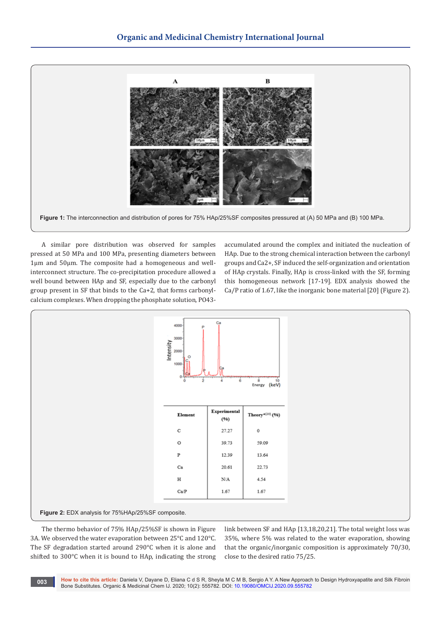

**Figure 1:** The interconnection and distribution of pores for 75% HAp/25%SF composites pressured at (A) 50 MPa and (B) 100 MPa.

A similar pore distribution was observed for samples pressed at 50 MPa and 100 MPa, presenting diameters between 1µm and 50µm. The composite had a homogeneous and wellinterconnect structure. The co-precipitation procedure allowed a well bound between HAp and SF, especially due to the carbonyl group present in SF that binds to the Ca+2, that forms carbonylcalcium complexes. When dropping the phosphate solution, PO43accumulated around the complex and initiated the nucleation of HAp. Due to the strong chemical interaction between the carbonyl groups and Ca2+, SF induced the self-organization and orientation of HAp crystals. Finally, HAp is cross-linked with the SF, forming this homogeneous network [17-19]. EDX analysis showed the Ca/P ratio of 1.67, like the inorganic bone material [20] (Figure 2).



The thermo behavior of 75% HAp/25%SF is shown in Figure 3A. We observed the water evaporation between 25°C and 120°C. The SF degradation started around 290°C when it is alone and shifted to 300°C when it is bound to HAp, indicating the strong

link between SF and HAp [13,18,20,21]. The total weight loss was 35%, where 5% was related to the water evaporation, showing that the organic/inorganic composition is approximately 70/30, close to the desired ratio 75/25.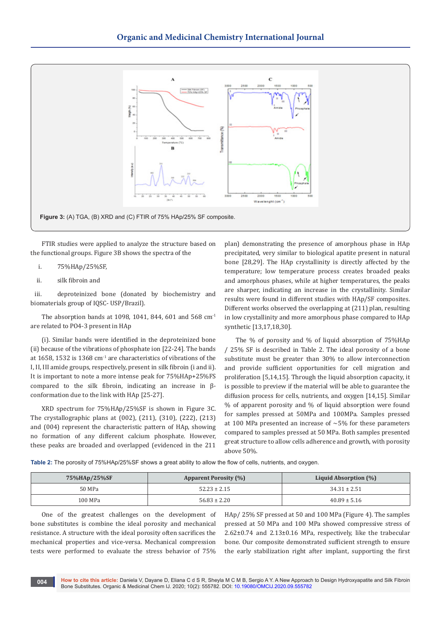

FTIR studies were applied to analyze the structure based on the functional groups. Figure 3B shows the spectra of the

- i. 75%HAp/25%SF,
- ii. silk fibroin and

iii. deproteinized bone (donated by biochemistry and biomaterials group of IQSC- USP/Brazil).

The absorption bands at 1098, 1041, 844, 601 and 568  $cm<sup>-1</sup>$ are related to PO4-3 present in HAp

(i). Similar bands were identified in the deproteinized bone (ii) because of the vibrations of phosphate ion [22-24]. The bands at 1658, 1532 is 1368  $cm<sup>-1</sup>$  are characteristics of vibrations of the I, II, III amide groups, respectively, present in silk fibroin (i and ii). It is important to note a more intense peak for 75%HAp+25%FS compared to the silk fibroin, indicating an increase in βconformation due to the link with HAp [25-27].

XRD spectrum for 75%HAp/25%SF is shown in Figure 3C. The crystallographic plans at (002), (211), (310), (222), (213) and (004) represent the characteristic pattern of HAp, showing no formation of any different calcium phosphate. However, these peaks are broaded and overlapped (evidenced in the 211

plan) demonstrating the presence of amorphous phase in HAp precipitated, very similar to biological apatite present in natural bone [28,29]. The HAp crystallinity is directly affected by the temperature; low temperature process creates broaded peaks and amorphous phases, while at higher temperatures, the peaks are sharper, indicating an increase in the crystallinity. Similar results were found in different studies with HAp/SF composites. Different works observed the overlapping at (211) plan, resulting in low crystallinity and more amorphous phase compared to HAp synthetic [13,17,18,30].

The % of porosity and % of liquid absorption of 75%HAp / 25% SF is described in Table 2. The ideal porosity of a bone substitute must be greater than 30% to allow interconnection and provide sufficient opportunities for cell migration and proliferation [5,14,15]. Through the liquid absorption capacity, it is possible to preview if the material will be able to guarantee the diffusion process for cells, nutrients, and oxygen [14,15]. Similar % of apparent porosity and % of liquid absorption were found for samples pressed at 50MPa and 100MPa. Samples pressed at 100 MPa presented an increase of  $\sim$ 5% for these parameters compared to samples pressed at 50 MPa. Both samples presented great structure to allow cells adherence and growth, with porosity above 50%.

**Table 2:** The porosity of 75%HAp/25%SF shows a great ability to allow the flow of cells, nutrients, and oxygen.

| 75%HAp/25%SF | <b>Apparent Porosity (%)</b> | Liquid Absorption (%) |
|--------------|------------------------------|-----------------------|
| 50 MPa       | $52.23 \pm 2.15$             | $34.31 \pm 2.51$      |
| 100 MPa      | $56.83 \pm 2.20$             | $40.89 \pm 5.16$      |

One of the greatest challenges on the development of bone substitutes is combine the ideal porosity and mechanical resistance. A structure with the ideal porosity often sacrifices the mechanical properties and vice-versa. Mechanical compression tests were performed to evaluate the stress behavior of 75%

HAp/ 25% SF pressed at 50 and 100 MPa (Figure 4). The samples pressed at 50 MPa and 100 MPa showed compressive stress of 2.62±0.74 and 2.13±0.16 MPa, respectively, like the trabecular bone. Our composite demonstrated sufficient strength to ensure the early stabilization right after implant, supporting the first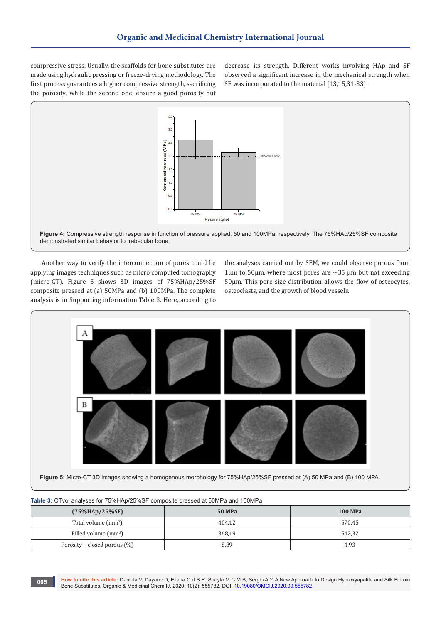compressive stress. Usually, the scaffolds for bone substitutes are made using hydraulic pressing or freeze-drying methodology. The first process guarantees a higher compressive strength, sacrificing the porosity, while the second one, ensure a good porosity but decrease its strength. Different works involving HAp and SF observed a significant increase in the mechanical strength when SF was incorporated to the material [13,15,31-33].



**Figure 4:** Compressive strength response in function of pressure applied, 50 and 100MPa, respectively. The 75%HAp/25%SF composite demonstrated similar behavior to trabecular bone.

Another way to verify the interconnection of pores could be applying images techniques such as micro computed tomography (micro-CT). Figure 5 shows 3D images of 75%HAp/25%SF composite pressed at (a) 50MPa and (b) 100MPa. The complete analysis is in Supporting information Table 3. Here, according to

the analyses carried out by SEM, we could observe porous from 1 $\mu$ m to 50 $\mu$ m, where most pores are ~35  $\mu$ m but not exceeding 50µm. This pore size distribution allows the flow of osteocytes, osteoclasts, and the growth of blood vessels.



**Figure 5:** Micro-CT 3D images showing a homogenous morphology for 75%HAp/25%SF pressed at (A) 50 MPa and (B) 100 MPA.

| where you will allow page for a young spiller four composite process at opinion and it of the same |        |                |  |  |  |
|----------------------------------------------------------------------------------------------------|--------|----------------|--|--|--|
| $(75\%HAp/25\%SF)$                                                                                 | 50 MPa | <b>100 MPa</b> |  |  |  |
| Total volume $\text{ (mm}^3\text{)}$                                                               | 404.12 | 570,45         |  |  |  |
| Filled volume $\text{(mm}^3)$                                                                      | 368.19 | 542,32         |  |  |  |
| Porosity – closed porous $(\%)$                                                                    | 8,89   | 4,93           |  |  |  |

**Table 3:** CTvol analyses for 75%HAp/25%SF composite pressed at 50MPa and 100MPa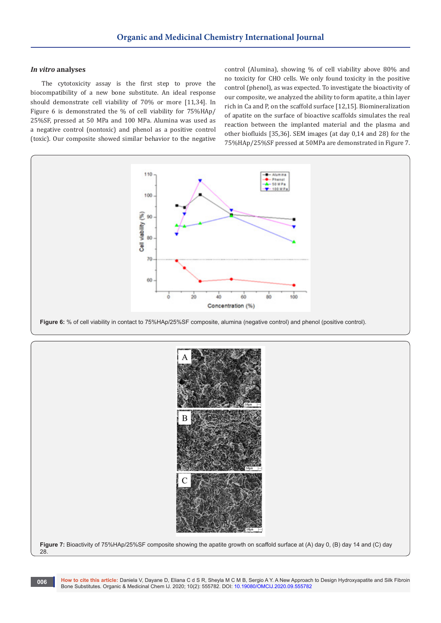#### *In vitro* **analyses**

The cytotoxicity assay is the first step to prove the biocompatibility of a new bone substitute. An ideal response should demonstrate cell viability of 70% or more [11,34]. In Figure 6 is demonstrated the % of cell viability for 75%HAp/ 25%SF, pressed at 50 MPa and 100 MPa. Alumina was used as a negative control (nontoxic) and phenol as a positive control (toxic). Our composite showed similar behavior to the negative

control (Alumina), showing % of cell viability above 80% and no toxicity for CHO cells. We only found toxicity in the positive control (phenol), as was expected. To investigate the bioactivity of our composite, we analyzed the ability to form apatite, a thin layer rich in Ca and P, on the scaffold surface [12,15]. Biomineralization of apatite on the surface of bioactive scaffolds simulates the real reaction between the implanted material and the plasma and other biofluids [35,36]. SEM images (at day 0,14 and 28) for the 75%HAp/25%SF pressed at 50MPa are demonstrated in Figure 7.



**Figure 6:** % of cell viability in contact to 75%HAp/25%SF composite, alumina (negative control) and phenol (positive control).



**Figure 7:** Bioactivity of 75%HAp/25%SF composite showing the apatite growth on scaffold surface at (A) day 0, (B) day 14 and (C) day 28.

**How to cite this article:** Daniela V, Dayane D, Eliana C d S R, Sheyla M C M B, Sergio A Y. A New Approach to Design Hydroxyapatite and Silk Fibroin Bone Substitutes. Organic & Medicinal Chem IJ. 2020; 10(2): 555782. DOI: [10.19080/OMCIJ.2020.09.5557](http://dx.doi.org/10.19080/OMCIJ.2020.10.555782)82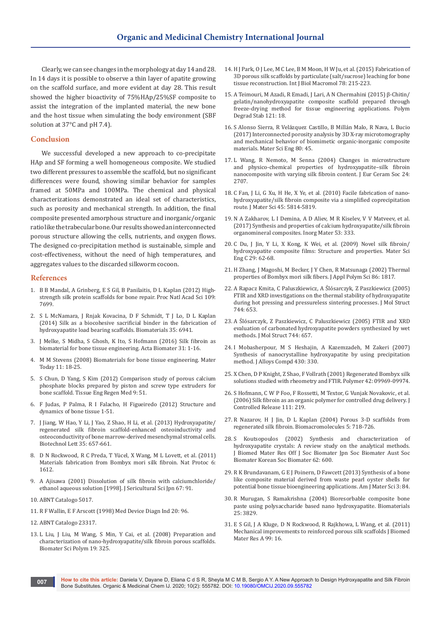Clearly, we can see changes in the morphology at day 14 and 28. In 14 days it is possible to observe a thin layer of apatite growing on the scaffold surface, and more evident at day 28. This result showed the higher bioactivity of 75%HAp/25%SF composite to assist the integration of the implanted material, the new bone and the host tissue when simulating the body environment (SBF solution at 37°C and pH 7.4).

#### **Conclusion**

We successful developed a new approach to co-precipitate HAp and SF forming a well homogeneous composite. We studied two different pressures to assemble the scaffold, but no significant differences were found, showing similar behavior for samples framed at 50MPa and 100MPa. The chemical and physical characterizations demonstrated an ideal set of characteristics, such as porosity and mechanical strength. In addition, the final composite presented amorphous structure and inorganic/organic ratio like the trabecular bone. Our results showed an interconnected porous structure allowing the cells, nutrients, and oxygen flows. The designed co-precipitation method is sustainable, simple and cost-effectiveness, without the need of high temperatures, and aggregates values to the discarded silkworm cocoon.

#### **References**

- 1. [B B Mandal, A Grinberg, E S Gil, B Panilaitis, D L Kaplan \(2012\) High](https://www.pnas.org/content/109/20/7699)[strength silk protein scaffolds for bone repair. Proc Natl Acad Sci 109:](https://www.pnas.org/content/109/20/7699)  [7699.](https://www.pnas.org/content/109/20/7699)
- 2. [S L McNamara, J Rnjak Kovacina, D F Schmidt, T J Lo, D L Kaplan](https://pubmed.ncbi.nlm.nih.gov/24881027/)  [\(2014\) Silk as a biocohesive sacrificial binder in the fabrication of](https://pubmed.ncbi.nlm.nih.gov/24881027/)  [hydroxyapatite load bearing scaffolds. Biomaterials 35: 6941.](https://pubmed.ncbi.nlm.nih.gov/24881027/)
- 3. [J Melke, S Midha, S Ghosh, K Ito, S Hofmann \(2016\) Silk fibroin as](https://pubmed.ncbi.nlm.nih.gov/26360593/)  [biomaterial for bone tissue engineering. Acta Biomater 31: 1-16.](https://pubmed.ncbi.nlm.nih.gov/26360593/)
- 4. [M M Stevens \(2008\) Biomaterials for bone tissue engineering. Mater](https://www.sciencedirect.com/science/article/pii/S1369702108700865)  [Today 11: 18-25.](https://www.sciencedirect.com/science/article/pii/S1369702108700865)
- 5. [S Chun, D Yang, S Kim \(2012\) Comparison study of porous calcium](https://link.springer.com/article/10.1007/s13770-012-0051-3)  [phosphate blocks prepared by piston and screw type extruders for](https://link.springer.com/article/10.1007/s13770-012-0051-3)  [bone scaffold. Tissue Eng Regen Med 9: 51.](https://link.springer.com/article/10.1007/s13770-012-0051-3)
- 6. [F Judas, P Palma, R I Falacho, H Figueiredo \(2012\) Structure and](http://rihuc.huc.min-saude.pt/handle/10400.4/1346)  [dynamics of bone tissue 1-51.](http://rihuc.huc.min-saude.pt/handle/10400.4/1346)
- 7. [J Jiang, W Hao, Y Li, J Yao, Z Shao, H Li, et al. \(2013\) Hydroxyapatite/](https://link.springer.com/article/10.1007/s10529-012-1121-2) [regenerated silk fibroin scaffold-enhanced osteoinductivity and](https://link.springer.com/article/10.1007/s10529-012-1121-2)  [osteoconductivity of bone marrow-derived mesenchymal stromal cells.](https://link.springer.com/article/10.1007/s10529-012-1121-2)  [Biotechnol Lett 35: 657-661.](https://link.springer.com/article/10.1007/s10529-012-1121-2)
- 8. [D N Rockwood, R C Preda, T Yücel, X Wang, M L Lovett, et al. \(2011\)](https://pubmed.ncbi.nlm.nih.gov/21959241/)  [Materials fabrication from Bombyx mori silk fibroin. Nat Protoc 6:](https://pubmed.ncbi.nlm.nih.gov/21959241/)  [1612.](https://pubmed.ncbi.nlm.nih.gov/21959241/)
- 9. [A Ajisawa \(2001\) Dissolution of silk fibroin with calciumchloride/](https://agris.fao.org/agris-search/search.do?recordID=JP1998006034) [ethanol aqueous solution \[1998\]. J Sericultural Sci Jpn 67: 91.](https://agris.fao.org/agris-search/search.do?recordID=JP1998006034)
- 10. ABNT Catalogo 5017.
- 11. R F Wallin, E F Arscott (1998) Med Device Diagn Ind 20: 96.
- 12. ABNT Catalogo 23317.
- 13. [L Liu, J Liu, M Wang, S Min, Y Cai, et al. \(2008\) Preparation and](https://www.tandfonline.com/doi/abs/10.1163/156856208783721010)  [characterization of nano-hydroxyapatite/silk fibroin porous scaffolds.](https://www.tandfonline.com/doi/abs/10.1163/156856208783721010)  [Biomater Sci Polym 19: 325.](https://www.tandfonline.com/doi/abs/10.1163/156856208783721010)
- 14. [H J Park, O J Lee, M C Lee, B M Moon, H W Ju, et al. \(2015\) Fabrication of](https://www.sciencedirect.com/science/article/abs/pii/S0141813015002160)  [3D porous silk scaffolds by particulate \(salt/sucrose\) leaching for bone](https://www.sciencedirect.com/science/article/abs/pii/S0141813015002160)  [tissue reconstruction. Int J Biol Macromol 78: 215-223.](https://www.sciencedirect.com/science/article/abs/pii/S0141813015002160)
- 15. [A Teimouri, M Azadi, R Emadi, J Lari, A N Chermahini \(2015\) β-Chitin/](https://link.springer.com/article/10.1007/s00289-016-1691-6) [gelatin/nanohydroxyapatite composite scaffold prepared through](https://link.springer.com/article/10.1007/s00289-016-1691-6)  [freeze-drying method for tissue engineering applications. Polym](https://link.springer.com/article/10.1007/s00289-016-1691-6)  [Degrad Stab 121: 18.](https://link.springer.com/article/10.1007/s00289-016-1691-6)
- 16. [S Alonso Sierra, R Velázquez Castillo, B Millán Malo, R Nava, L Bucio](https://pubmed.ncbi.nlm.nih.gov/28866187/)  [\(2017\) Interconnected porosity analysis by 3D X-ray microtomography](https://pubmed.ncbi.nlm.nih.gov/28866187/)  [and mechanical behavior of biomimetic organic-inorganic composite](https://pubmed.ncbi.nlm.nih.gov/28866187/)  [materials. Mater Sci Eng 80: 45.](https://pubmed.ncbi.nlm.nih.gov/28866187/)
- 17. [L Wang, R Nemoto, M Senna \(2004\) Changes in microstructure](https://www.sciencedirect.com/science/article/abs/pii/S0955221903007647)  [and physico-chemical properties of hydroxyapatite–silk fibroin](https://www.sciencedirect.com/science/article/abs/pii/S0955221903007647)  [nanocomposite with varying silk fibroin content. J Eur Ceram Soc 24:](https://www.sciencedirect.com/science/article/abs/pii/S0955221903007647)  [2707.](https://www.sciencedirect.com/science/article/abs/pii/S0955221903007647)
- 18. [C Fan, J Li, G Xu, H He, X Ye, et al. \(2010\) Facile fabrication of nano](https://link.springer.com/article/10.1007%2Fs10853-010-4656-4?LI=true)[hydroxyapatite/silk fibroin composite via a simplified coprecipitation](https://link.springer.com/article/10.1007%2Fs10853-010-4656-4?LI=true)  [route. J Mater Sci 45: 5814-5819.](https://link.springer.com/article/10.1007%2Fs10853-010-4656-4?LI=true)
- 19. [N A Zakharov, L I Demina, A D Aliev, M R Kiselev, V V Matveev, et al.](https://link.springer.com/article/10.1134/S0020168517030128)  [\(2017\) Synthesis and properties of calcium hydroxyapatite/silk fibroin](https://link.springer.com/article/10.1134/S0020168517030128)  [organomineral composites. Inorg Mater 53: 333.](https://link.springer.com/article/10.1134/S0020168517030128)
- 20. [C Du, J Jin, Y Li, X Kong, K Wei, et al. \(2009\) Novel silk fibroin/](https://www.sciencedirect.com/science/article/abs/pii/S0928493108001070?via%3Dihub) [hydroxyapatite composite films: Structure and properties. Mater Sci](https://www.sciencedirect.com/science/article/abs/pii/S0928493108001070?via%3Dihub)  [Eng C 29: 62-68.](https://www.sciencedirect.com/science/article/abs/pii/S0928493108001070?via%3Dihub)
- 21. [H Zhang, J Magoshi, M Becker, J Y Chen, R Matsunaga \(2002\) Thermal](https://onlinelibrary.wiley.com/doi/abs/10.1002/app.11089)  [properties of Bombyx mori silk fibers. J Appl Polym Sci 86: 1817.](https://onlinelibrary.wiley.com/doi/abs/10.1002/app.11089)
- 22. [A Rapacz Kmita, C Paluszkiewicz, A Ślósarczyk, Z Paszkiewicz \(2005\)](https://www.sciencedirect.com/science/article/abs/pii/S0022286004009718)  [FTIR and XRD investigations on the thermal stability of hydroxyapatite](https://www.sciencedirect.com/science/article/abs/pii/S0022286004009718)  [during hot pressing and pressureless sintering processes. J Mol Struct](https://www.sciencedirect.com/science/article/abs/pii/S0022286004009718)  [744: 653.](https://www.sciencedirect.com/science/article/abs/pii/S0022286004009718)
- 23. [A Ślósarczyk, Z Paszkiewicz, C Paluszkiewicz \(2005\) FTIR and XRD](https://www.sciencedirect.com/science/article/abs/pii/S0022286004009706)  [evaluation of carbonated hydroxyapatite powders synthesized by wet](https://www.sciencedirect.com/science/article/abs/pii/S0022286004009706)  [methods. J Mol Struct 744: 657.](https://www.sciencedirect.com/science/article/abs/pii/S0022286004009706)
- 24. [I Mobasherpour, M S Heshajin, A Kazemzadeh, M Zakeri \(2007\)](https://www.sciencedirect.com/science/article/abs/pii/S0925838806005305)  [Synthesis of nanocrystalline hydroxyapatite by using precipitation](https://www.sciencedirect.com/science/article/abs/pii/S0925838806005305)  [method. J Alloys Compd 430: 330.](https://www.sciencedirect.com/science/article/abs/pii/S0925838806005305)
- 25. [X Chen, D P Knight, Z Shao, F Vollrath \(2001\) Regenerated Bombyx silk](https://www.sciencedirect.com/science/article/abs/pii/S0032386101005419)  [solutions studied with rheometry and FTIR. Polymer 42: 09969-09974.](https://www.sciencedirect.com/science/article/abs/pii/S0032386101005419)
- 26. [S Hofmann, C W P Foo, F Rossetti, M Textor, G Vunjak Novakovic, et al.](https://www.sciencedirect.com/science/article/abs/pii/S0168365905007327)  [\(2006\) Silk fibroin as an organic polymer for controlled drug delivery. J](https://www.sciencedirect.com/science/article/abs/pii/S0168365905007327)  [Controlled Release 111: 219.](https://www.sciencedirect.com/science/article/abs/pii/S0168365905007327)
- 27. [R Nazarov, H J Jin, D L Kaplan \(2004\) Porous 3-D scaffolds from](https://pubmed.ncbi.nlm.nih.gov/15132652/)  [regenerated silk fibroin. Biomacromolecules 5: 718-726.](https://pubmed.ncbi.nlm.nih.gov/15132652/)
- 28. [S Koutsopoulos \(2002\) Synthesis and characterization of](https://onlinelibrary.wiley.com/doi/abs/10.1002/jbm.10280)  [hydroxyapatite crystals: A review study on the analytical methods.](https://onlinelibrary.wiley.com/doi/abs/10.1002/jbm.10280)  [J Biomed Mater Res Off J Soc Biomater Jpn Soc Biomater Aust Soc](https://onlinelibrary.wiley.com/doi/abs/10.1002/jbm.10280)  [Biomater Korean Soc Biomater 62: 600.](https://onlinelibrary.wiley.com/doi/abs/10.1002/jbm.10280)
- 29. [R K Brundavanam, G E J Poinern, D Fawcett \(2013\) Synthesis of a bone](https://www.msjonline.org/index.php/ijrms/article/view/3029)  [like composite material derived from waste pearl oyster shells for](https://www.msjonline.org/index.php/ijrms/article/view/3029)  [potential bone tissue bioengineering applications. Am J Mater Sci 3: 84.](https://www.msjonline.org/index.php/ijrms/article/view/3029)
- 30. [R Murugan, S Ramakrishna \(2004\) Bioresorbable composite bone](https://pubmed.ncbi.nlm.nih.gov/15020158/)  [paste using polysaccharide based nano hydroxyapatite. Biomaterials](https://pubmed.ncbi.nlm.nih.gov/15020158/)  [25: 3829.](https://pubmed.ncbi.nlm.nih.gov/15020158/)
- 31. [E S Gil, J A Kluge, D N Rockwood, R Rajkhowa, L Wang, et al. \(2011\)](https://onlinelibrary.wiley.com/doi/10.1002/jbm.a.33158)  [Mechanical improvements to reinforced porous silk scaffolds J Biomed](https://onlinelibrary.wiley.com/doi/10.1002/jbm.a.33158)  [Mater Res A 99: 16.](https://onlinelibrary.wiley.com/doi/10.1002/jbm.a.33158)